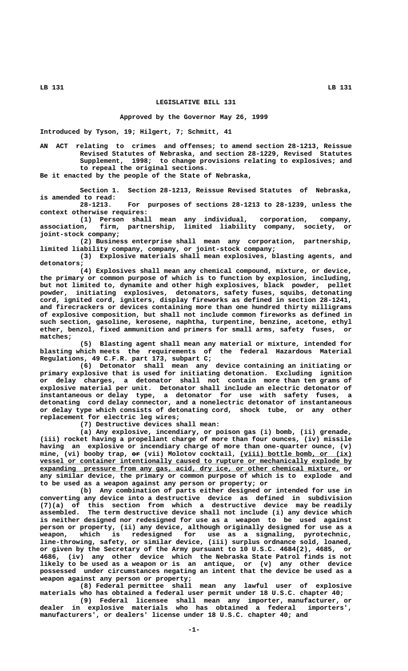## **LB 131 LB 131**

## **LEGISLATIVE BILL 131**

## **Approved by the Governor May 26, 1999**

**Introduced by Tyson, 19; Hilgert, 7; Schmitt, 41**

**AN ACT relating to crimes and offenses; to amend section 28-1213, Reissue Revised Statutes of Nebraska, and section 28-1229, Revised Statutes Supplement, 1998; to change provisions relating to explosives; and to repeal the original sections.**

**Be it enacted by the people of the State of Nebraska,**

**Section 1. Section 28-1213, Reissue Revised Statutes of Nebraska, is amended to read:**

**28-1213. For purposes of sections 28-1213 to 28-1239, unless the context otherwise requires:**

**(1) Person shall mean any individual, corporation, company, association, firm, partnership, limited liability company, society, or joint-stock company;**

**(2) Business enterprise shall mean any corporation, partnership, limited liability company, company, or joint-stock company;**

**(3) Explosive materials shall mean explosives, blasting agents, and detonators;**

**(4) Explosives shall mean any chemical compound, mixture, or device, the primary or common purpose of which is to function by explosion, including, but not limited to, dynamite and other high explosives, black powder, pellet powder, initiating explosives, detonators, safety fuses, squibs, detonating cord, ignited cord, igniters, display fireworks as defined in section 28-1241, and firecrackers or devices containing more than one hundred thirty milligrams of explosive composition, but shall not include common fireworks as defined in such section, gasoline, kerosene, naphtha, turpentine, benzine, acetone, ethyl ether, benzol, fixed ammunition and primers for small arms, safety fuses, or matches;**

**(5) Blasting agent shall mean any material or mixture, intended for blasting which meets the requirements of the federal Hazardous Material Regulations, 49 C.F.R. part 173, subpart C;**

**(6) Detonator shall mean any device containing an initiating or primary explosive that is used for initiating detonation. Excluding ignition or delay charges, a detonator shall not contain more than ten grams of explosive material per unit. Detonator shall include an electric detonator of instantaneous or delay type, a detonator for use with safety fuses, a detonating cord delay connector, and a nonelectric detonator of instantaneous or delay type which consists of detonating cord, shock tube, or any other replacement for electric leg wires;**

**(7) Destructive devices shall mean:**

**(a) Any explosive, incendiary, or poison gas (i) bomb, (ii) grenade, (iii) rocket having a propellant charge of more than four ounces, (iv) missile having an explosive or incendiary charge of more than one-quarter ounce, (v)** mine, (vi) booby trap,  $e^{i}$  (vii) Molotov cocktail, (viii) bottle bomb, or (ix)  **\_\_\_\_\_\_\_\_\_\_\_\_\_\_\_\_\_\_\_\_\_\_\_\_\_\_\_\_\_\_\_\_\_\_\_\_\_\_\_\_\_\_\_\_\_\_\_\_\_\_\_\_\_\_\_\_\_\_\_\_\_\_\_\_\_\_\_\_\_\_\_\_\_\_\_\_\_\_ vessel or container intentionally caused to rupture or mechanically explode by \_\_\_\_\_\_\_\_\_\_\_\_\_\_\_\_\_\_\_\_\_\_\_\_\_\_\_\_\_\_\_\_\_\_\_\_\_\_\_\_\_\_\_\_\_\_\_\_\_\_\_\_\_\_\_\_\_\_\_\_\_\_\_\_\_\_\_\_\_\_\_\_\_\_\_ expanding pressure from any gas, acid, dry ice, or other chemical mixture, or any similar device, the primary or common purpose of which is to explode and to be used as a weapon against any person or property; or**

**(b) Any combination of parts either designed or intended for use in converting any device into a destructive device as defined in subdivision (7)(a) of this section from which a destructive device may be readily assembled. The term destructive device shall not include (i) any device which is neither designed nor redesigned for use as a weapon to be used against person or property, (ii) any device, although originally designed for use as a weapon, which is redesigned for use as a signaling, pyrotechnic, line-throwing, safety, or similar device, (iii) surplus ordnance sold, loaned, or given by the Secretary of the Army pursuant to 10 U.S.C. 4684(2), 4685, or 4686, (iv) any other device which the Nebraska State Patrol finds is not likely to be used as a weapon or is an antique, or (v) any other device possessed under circumstances negating an intent that the device be used as a weapon against any person or property;**

**(8) Federal permittee shall mean any lawful user of explosive materials who has obtained a federal user permit under 18 U.S.C. chapter 40;**

**(9) Federal licensee shall mean any importer, manufacturer, or dealer in explosive materials who has obtained a federal importers', manufacturers', or dealers' license under 18 U.S.C. chapter 40; and**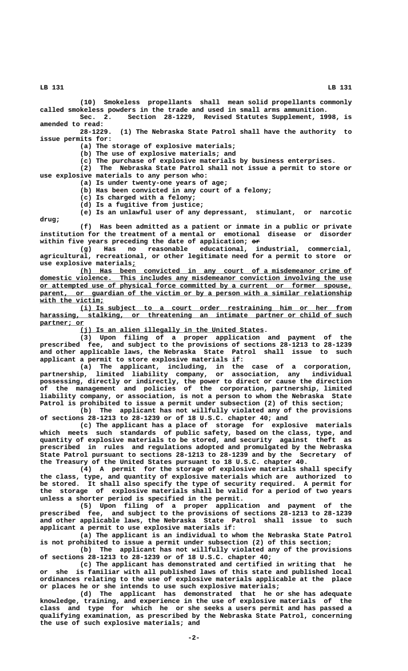**LB 131 LB 131**

**(10) Smokeless propellants shall mean solid propellants commonly called smokeless powders in the trade and used in small arms ammunition. Sec. 2. Section 28-1229, Revised Statutes Supplement, 1998, is amended to read:**

**28-1229. (1) The Nebraska State Patrol shall have the authority to issue permits for:**

**(a) The storage of explosive materials;**

**(b) The use of explosive materials; and**

**(c) The purchase of explosive materials by business enterprises.**

**(2) The Nebraska State Patrol shall not issue a permit to store or use explosive materials to any person who:**

**(a) Is under twenty-one years of age;**

**(b) Has been convicted in any court of a felony;**

**(c) Is charged with a felony;**

**(d) Is a fugitive from justice;**

**(e) Is an unlawful user of any depressant, stimulant, or narcotic drug;**

**(f) Has been admitted as a patient or inmate in a public or private institution for the treatment of a mental or emotional disease or disorder** within five years preceding the date of application;  $e$ **P** 

**(g) Has no reasonable educational, industrial, commercial, agricultural, recreational, or other legitimate need for a permit to store or use explosive materials<u>;</u><br>(h) Has been** 

 **\_\_\_\_\_\_\_\_\_\_\_\_\_\_\_\_\_\_\_\_\_\_\_\_\_\_\_\_\_\_\_\_\_\_\_\_\_\_\_\_\_\_\_\_\_\_\_\_\_\_\_\_\_\_\_\_\_\_\_\_\_\_\_\_\_\_\_\_ (h) Has been convicted in any court of a misdemeanor crime of \_\_\_\_\_\_\_\_\_\_\_\_\_\_\_\_\_\_\_\_\_\_\_\_\_\_\_\_\_\_\_\_\_\_\_\_\_\_\_\_\_\_\_\_\_\_\_\_\_\_\_\_\_\_\_\_\_\_\_\_\_\_\_\_\_\_\_\_\_\_\_\_\_\_\_\_\_\_ domestic violence. This includes any misdemeanor conviction involving the use \_\_\_\_\_\_\_\_\_\_\_\_\_\_\_\_\_\_\_\_\_\_\_\_\_\_\_\_\_\_\_\_\_\_\_\_\_\_\_\_\_\_\_\_\_\_\_\_\_\_\_\_\_\_\_\_\_\_\_\_\_\_\_\_\_\_\_\_\_\_\_\_\_\_\_\_\_\_ or attempted use of physical force committed by a current or former spouse,** parent, or guardian of the victim or by a person with a similar relationship  **\_\_\_\_\_\_\_\_\_\_\_\_\_\_\_\_ with the victim;**

 **\_\_\_\_\_\_\_\_\_\_\_\_\_\_\_\_\_\_\_\_\_\_\_\_\_\_\_\_\_\_\_\_\_\_\_\_\_\_\_\_\_\_\_\_\_\_\_\_\_\_\_\_\_\_\_\_\_\_\_\_\_\_\_\_\_\_\_\_ (i) Is subject to a court order restraining him or her from** harassing, stalking, or threatening an intimate partner or child of such  **partner; or \_\_\_\_\_\_\_\_\_\_\_**

 **\_\_\_\_\_\_\_\_\_\_\_\_\_\_\_\_\_\_\_\_\_\_\_\_\_\_\_\_\_\_\_\_\_\_\_\_\_\_\_\_\_\_\_\_\_\_ (j) Is an alien illegally in the United States.**

**(3) Upon filing of a proper application and payment of the prescribed fee, and subject to the provisions of sections 28-1213 to 28-1239 and other applicable laws, the Nebraska State Patrol shall issue to such applicant a permit to store explosive materials if:**

**(a) The applicant, including, in the case of a corporation, partnership, limited liability company, or association, any individual possessing, directly or indirectly, the power to direct or cause the direction of the management and policies of the corporation, partnership, limited liability company, or association, is not a person to whom the Nebraska State Patrol is prohibited to issue a permit under subsection (2) of this section;**

**(b) The applicant has not willfully violated any of the provisions of sections 28-1213 to 28-1239 or of 18 U.S.C. chapter 40; and**

**(c) The applicant has a place of storage for explosive materials which meets such standards of public safety, based on the class, type, and quantity of explosive materials to be stored, and security against theft as prescribed in rules and regulations adopted and promulgated by the Nebraska State Patrol pursuant to sections 28-1213 to 28-1239 and by the Secretary of the Treasury of the United States pursuant to 18 U.S.C. chapter 40.**

**(4) A permit for the storage of explosive materials shall specify the class, type, and quantity of explosive materials which are authorized to be stored. It shall also specify the type of security required. A permit for the storage of explosive materials shall be valid for a period of two years unless a shorter period is specified in the permit.**

**(5) Upon filing of a proper application and payment of the prescribed fee, and subject to the provisions of sections 28-1213 to 28-1239 and other applicable laws, the Nebraska State Patrol shall issue to such applicant a permit to use explosive materials if:**

**(a) The applicant is an individual to whom the Nebraska State Patrol is not prohibited to issue a permit under subsection (2) of this section;**

**(b) The applicant has not willfully violated any of the provisions of sections 28-1213 to 28-1239 or of 18 U.S.C. chapter 40;**

**(c) The applicant has demonstrated and certified in writing that he or she is familiar with all published laws of this state and published local ordinances relating to the use of explosive materials applicable at the place or places he or she intends to use such explosive materials;**

**(d) The applicant has demonstrated that he or she has adequate knowledge, training, and experience in the use of explosive materials of the class and type for which he or she seeks a users permit and has passed a qualifying examination, as prescribed by the Nebraska State Patrol, concerning the use of such explosive materials; and**